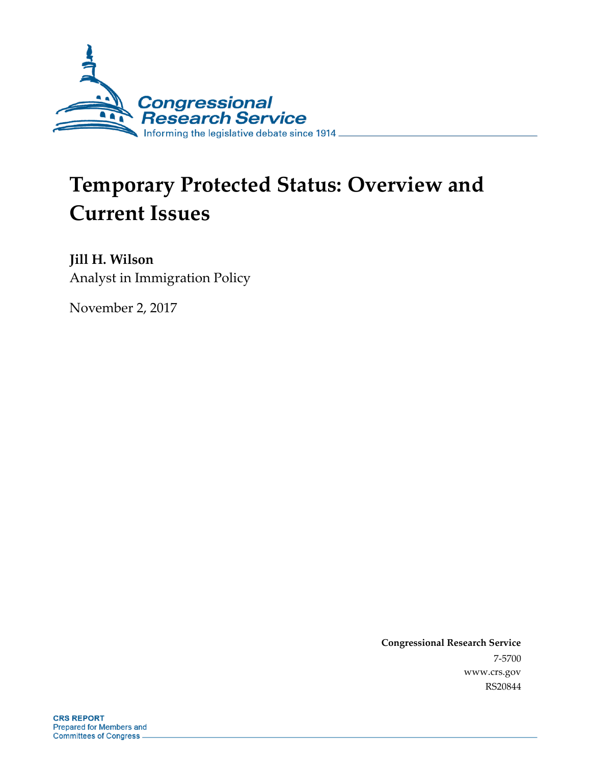

# **Temporary Protected Status: Overview and Current Issues**

**Jill H. Wilson** Analyst in Immigration Policy

November 2, 2017

**Congressional Research Service** 7-5700 www.crs.gov RS20844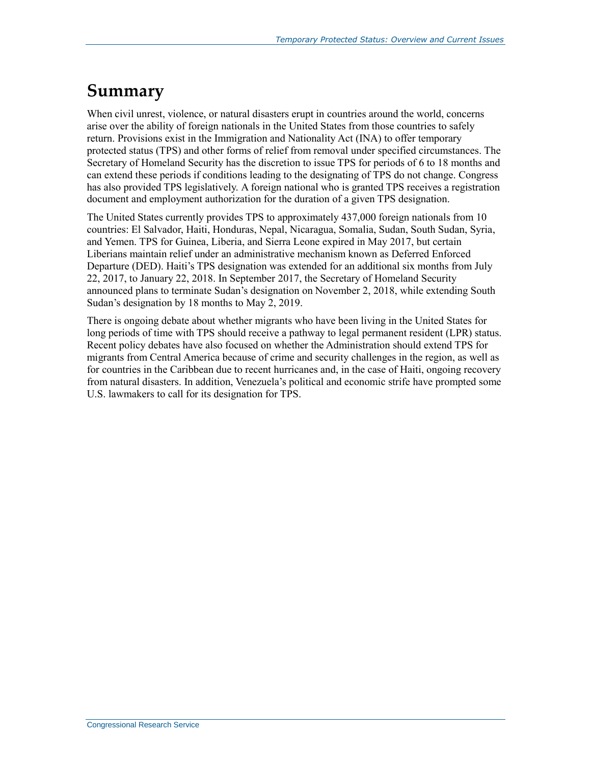## **Summary**

When civil unrest, violence, or natural disasters erupt in countries around the world, concerns arise over the ability of foreign nationals in the United States from those countries to safely return. Provisions exist in the Immigration and Nationality Act (INA) to offer temporary protected status (TPS) and other forms of relief from removal under specified circumstances. The Secretary of Homeland Security has the discretion to issue TPS for periods of 6 to 18 months and can extend these periods if conditions leading to the designating of TPS do not change. Congress has also provided TPS legislatively. A foreign national who is granted TPS receives a registration document and employment authorization for the duration of a given TPS designation.

The United States currently provides TPS to approximately 437,000 foreign nationals from 10 countries: El Salvador, Haiti, Honduras, Nepal, Nicaragua, Somalia, Sudan, South Sudan, Syria, and Yemen. TPS for Guinea, Liberia, and Sierra Leone expired in May 2017, but certain Liberians maintain relief under an administrative mechanism known as Deferred Enforced Departure (DED). Haiti's TPS designation was extended for an additional six months from July 22, 2017, to January 22, 2018. In September 2017, the Secretary of Homeland Security announced plans to terminate Sudan's designation on November 2, 2018, while extending South Sudan's designation by 18 months to May 2, 2019.

There is ongoing debate about whether migrants who have been living in the United States for long periods of time with TPS should receive a pathway to legal permanent resident (LPR) status. Recent policy debates have also focused on whether the Administration should extend TPS for migrants from Central America because of crime and security challenges in the region, as well as for countries in the Caribbean due to recent hurricanes and, in the case of Haiti, ongoing recovery from natural disasters. In addition, Venezuela's political and economic strife have prompted some U.S. lawmakers to call for its designation for TPS.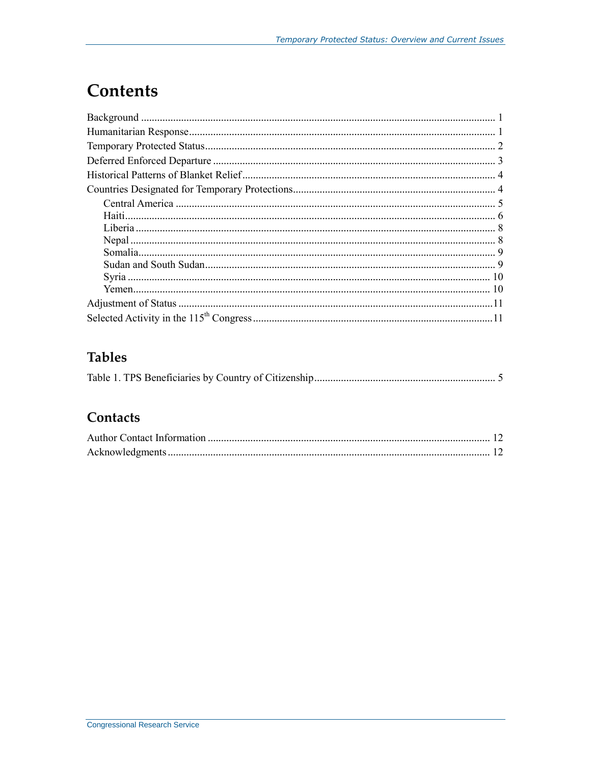# **Contents**

### **Tables**

|--|--|--|--|

### Contacts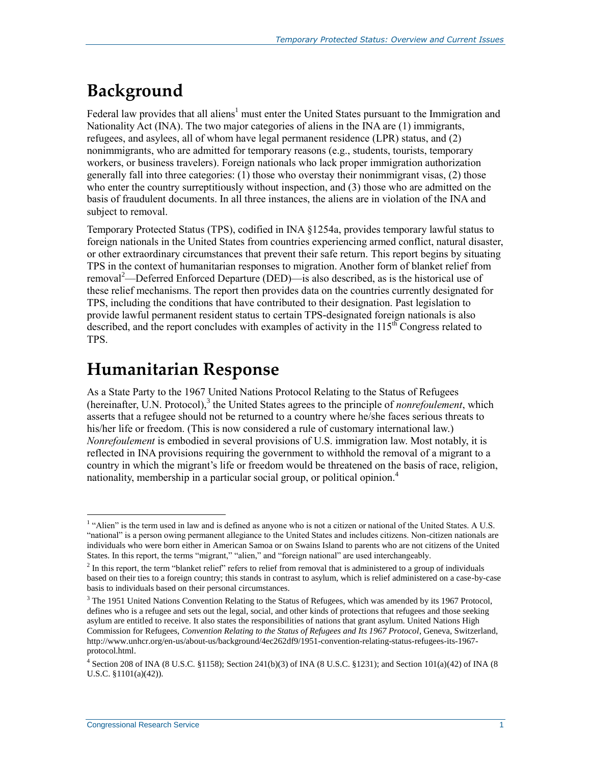# **Background**

Federal law provides that all aliens<sup>1</sup> must enter the United States pursuant to the Immigration and Nationality Act (INA). The two major categories of aliens in the INA are (1) immigrants, refugees, and asylees, all of whom have legal permanent residence (LPR) status, and (2) nonimmigrants, who are admitted for temporary reasons (e.g., students, tourists, temporary workers, or business travelers). Foreign nationals who lack proper immigration authorization generally fall into three categories: (1) those who overstay their nonimmigrant visas, (2) those who enter the country surreptitiously without inspection, and (3) those who are admitted on the basis of fraudulent documents. In all three instances, the aliens are in violation of the INA and subject to removal.

Temporary Protected Status (TPS), codified in INA §1254a, provides temporary lawful status to foreign nationals in the United States from countries experiencing armed conflict, natural disaster, or other extraordinary circumstances that prevent their safe return. This report begins by situating TPS in the context of humanitarian responses to migration. Another form of blanket relief from removal<sup>2</sup>—Deferred Enforced Departure (DED)—is also described, as is the historical use of these relief mechanisms. The report then provides data on the countries currently designated for TPS, including the conditions that have contributed to their designation. Past legislation to provide lawful permanent resident status to certain TPS-designated foreign nationals is also described, and the report concludes with examples of activity in the  $115<sup>th</sup>$  Congress related to TPS.

### **Humanitarian Response**

As a State Party to the 1967 United Nations Protocol Relating to the Status of Refugees (hereinafter, U.N. Protocol),<sup>3</sup> the United States agrees to the principle of *nonrefoulement*, which asserts that a refugee should not be returned to a country where he/she faces serious threats to his/her life or freedom. (This is now considered a rule of customary international law.) *Nonrefoulement* is embodied in several provisions of U.S. immigration law. Most notably, it is reflected in INA provisions requiring the government to withhold the removal of a migrant to a country in which the migrant's life or freedom would be threatened on the basis of race, religion, nationality, membership in a particular social group, or political opinion.<sup>4</sup>

<sup>&</sup>lt;sup>1</sup> "Alien" is the term used in law and is defined as anyone who is not a citizen or national of the United States. A U.S. "national" is a person owing permanent allegiance to the United States and includes citizens. Non-citizen nationals are individuals who were born either in American Samoa or on Swains Island to parents who are not citizens of the United States. In this report, the terms "migrant," "alien," and "foreign national" are used interchangeably.

 $<sup>2</sup>$  In this report, the term "blanket relief" refers to relief from removal that is administered to a group of individuals</sup> based on their ties to a foreign country; this stands in contrast to asylum, which is relief administered on a case-by-case basis to individuals based on their personal circumstances.

<sup>&</sup>lt;sup>3</sup> The 1951 United Nations Convention Relating to the Status of Refugees, which was amended by its 1967 Protocol, defines who is a refugee and sets out the legal, social, and other kinds of protections that refugees and those seeking asylum are entitled to receive. It also states the responsibilities of nations that grant asylum. United Nations High Commission for Refugees, *Convention Relating to the Status of Refugees and Its 1967 Protocol*, Geneva, Switzerland, http://www.unhcr.org/en-us/about-us/background/4ec262df9/1951-convention-relating-status-refugees-its-1967 protocol.html.

<sup>4</sup> Section 208 of INA (8 U.S.C. §1158); Section 241(b)(3) of INA (8 U.S.C. §1231); and Section 101(a)(42) of INA (8 U.S.C. §1101(a)(42)).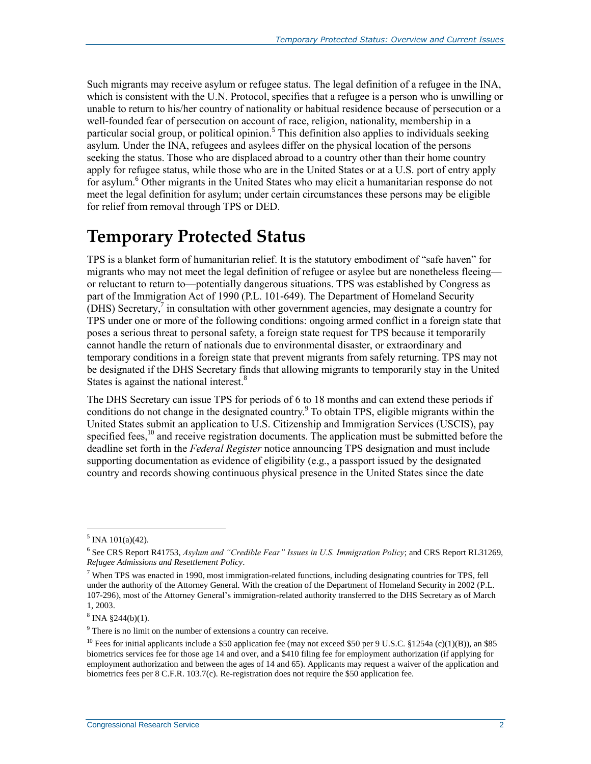Such migrants may receive asylum or refugee status. The legal definition of a refugee in the INA, which is consistent with the U.N. Protocol, specifies that a refugee is a person who is unwilling or unable to return to his/her country of nationality or habitual residence because of persecution or a well-founded fear of persecution on account of race, religion, nationality, membership in a particular social group, or political opinion.<sup>5</sup> This definition also applies to individuals seeking asylum. Under the INA, refugees and asylees differ on the physical location of the persons seeking the status. Those who are displaced abroad to a country other than their home country apply for refugee status, while those who are in the United States or at a U.S. port of entry apply for asylum. <sup>6</sup> Other migrants in the United States who may elicit a humanitarian response do not meet the legal definition for asylum; under certain circumstances these persons may be eligible for relief from removal through TPS or DED.

### **Temporary Protected Status**

TPS is a blanket form of humanitarian relief. It is the statutory embodiment of "safe haven" for migrants who may not meet the legal definition of refugee or asylee but are nonetheless fleeing or reluctant to return to—potentially dangerous situations. TPS was established by Congress as part of the Immigration Act of 1990 (P.L. 101-649). The Department of Homeland Security (DHS) Secretary, 7 in consultation with other government agencies, may designate a country for TPS under one or more of the following conditions: ongoing armed conflict in a foreign state that poses a serious threat to personal safety, a foreign state request for TPS because it temporarily cannot handle the return of nationals due to environmental disaster, or extraordinary and temporary conditions in a foreign state that prevent migrants from safely returning. TPS may not be designated if the DHS Secretary finds that allowing migrants to temporarily stay in the United States is against the national interest.<sup>8</sup>

The DHS Secretary can issue TPS for periods of 6 to 18 months and can extend these periods if conditions do not change in the designated country.<sup>9</sup> To obtain TPS, eligible migrants within the United States submit an application to U.S. Citizenship and Immigration Services (USCIS), pay specified fees, $10$  and receive registration documents. The application must be submitted before the deadline set forth in the *Federal Register* notice announcing TPS designation and must include supporting documentation as evidence of eligibility (e.g., a passport issued by the designated country and records showing continuous physical presence in the United States since the date

 $<sup>5</sup>$  INA 101(a)(42).</sup>

<sup>6</sup> See CRS Report R41753, *Asylum and "Credible Fear" Issues in U.S. Immigration Policy*; and CRS Report RL31269, *Refugee Admissions and Resettlement Policy*.

<sup>&</sup>lt;sup>7</sup> When TPS was enacted in 1990, most immigration-related functions, including designating countries for TPS, fell under the authority of the Attorney General. With the creation of the Department of Homeland Security in 2002 (P.L. 107-296), most of the Attorney General's immigration-related authority transferred to the DHS Secretary as of March 1, 2003.

 $8 \text{INA } $244(b)(1).$ 

<sup>&</sup>lt;sup>9</sup> There is no limit on the number of extensions a country can receive.

<sup>&</sup>lt;sup>10</sup> Fees for initial applicants include a \$50 application fee (may not exceed \$50 per 9 U.S.C. §1254a (c)(1)(B)), an \$85 biometrics services fee for those age 14 and over, and a \$410 filing fee for employment authorization (if applying for employment authorization and between the ages of 14 and 65). Applicants may request a waiver of the application and biometrics fees per 8 C.F.R. 103.7(c). Re-registration does not require the \$50 application fee.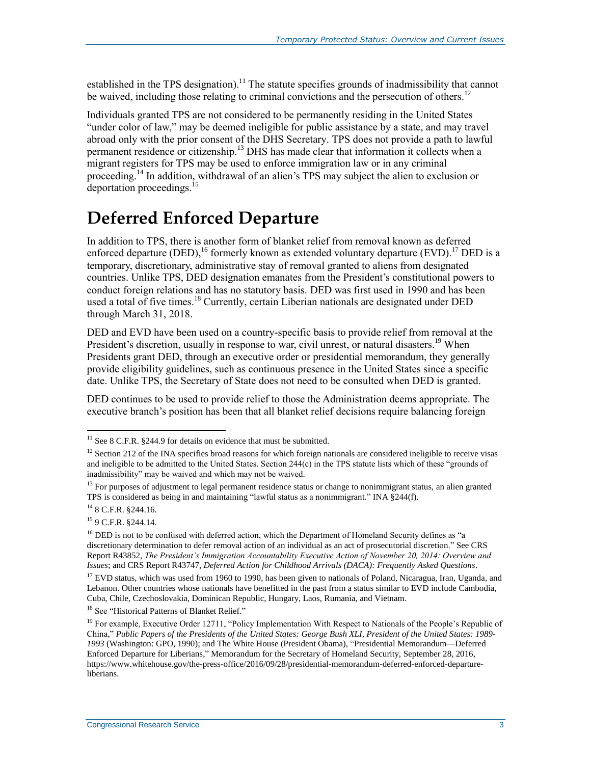established in the TPS designation).<sup>11</sup> The statute specifies grounds of inadmissibility that cannot be waived, including those relating to criminal convictions and the persecution of others.<sup>12</sup>

Individuals granted TPS are not considered to be permanently residing in the United States "under color of law," may be deemed ineligible for public assistance by a state, and may travel abroad only with the prior consent of the DHS Secretary. TPS does not provide a path to lawful permanent residence or citizenship.<sup>13</sup> DHS has made clear that information it collects when a migrant registers for TPS may be used to enforce immigration law or in any criminal proceeding.<sup>14</sup> In addition, withdrawal of an alien's TPS may subject the alien to exclusion or deportation proceedings.<sup>15</sup>

# **Deferred Enforced Departure**

In addition to TPS, there is another form of blanket relief from removal known as deferred enforced departure (DED), <sup>16</sup> formerly known as extended voluntary departure (EVD).<sup>17</sup> DED is a temporary, discretionary, administrative stay of removal granted to aliens from designated countries. Unlike TPS, DED designation emanates from the President's constitutional powers to conduct foreign relations and has no statutory basis. DED was first used in 1990 and has been used a total of five times.<sup>18</sup> Currently, certain Liberian nationals are designated under DED through March 31, 2018.

DED and EVD have been used on a country-specific basis to provide relief from removal at the President's discretion, usually in response to war, civil unrest, or natural disasters.<sup>19</sup> When Presidents grant DED, through an executive order or presidential memorandum, they generally provide eligibility guidelines, such as continuous presence in the United States since a specific date. Unlike TPS, the Secretary of State does not need to be consulted when DED is granted.

DED continues to be used to provide relief to those the Administration deems appropriate. The executive branch's position has been that all blanket relief decisions require balancing foreign

 $11$  See 8 C.F.R. §244.9 for details on evidence that must be submitted.

 $12$  Section 212 of the INA specifies broad reasons for which foreign nationals are considered ineligible to receive visas and ineligible to be admitted to the United States. Section 244(c) in the TPS statute lists which of these "grounds of inadmissibility" may be waived and which may not be waived.

<sup>&</sup>lt;sup>13</sup> For purposes of adjustment to legal permanent residence status or change to nonimmigrant status, an alien granted TPS is considered as being in and maintaining "lawful status as a nonimmigrant." INA §244(f).

<sup>14</sup> 8 C.F.R. §244.16.

<sup>15</sup> 9 C.F.R. §244.14.

<sup>&</sup>lt;sup>16</sup> DED is not to be confused with deferred action, which the Department of Homeland Security defines as "a discretionary determination to defer removal action of an individual as an act of prosecutorial discretion." See CRS Report R43852, *The President's Immigration Accountability Executive Action of November 20, 2014: Overview and Issues*; and CRS Report R43747, *Deferred Action for Childhood Arrivals (DACA): Frequently Asked Questions*.

 $17$  EVD status, which was used from 1960 to 1990, has been given to nationals of Poland, Nicaragua, Iran, Uganda, and Lebanon. Other countries whose nationals have benefitted in the past from a status similar to EVD include Cambodia, Cuba, Chile, Czechoslovakia, Dominican Republic, Hungary, Laos, Rumania, and Vietnam.

<sup>&</sup>lt;sup>18</sup> See ["Historical Patterns of Blanket Relief."](#page-6-0)

 $<sup>19</sup>$  For example, Executive Order 12711, "Policy Implementation With Respect to Nationals of the People's Republic of</sup> China," *Public Papers of the Presidents of the United States: George Bush XLI, President of the United States: 1989- 1993* (Washington: GPO, 1990); and The White House (President Obama), "Presidential Memorandum—Deferred Enforced Departure for Liberians," Memorandum for the Secretary of Homeland Security, September 28, 2016, https://www.whitehouse.gov/the-press-office/2016/09/28/presidential-memorandum-deferred-enforced-departureliberians.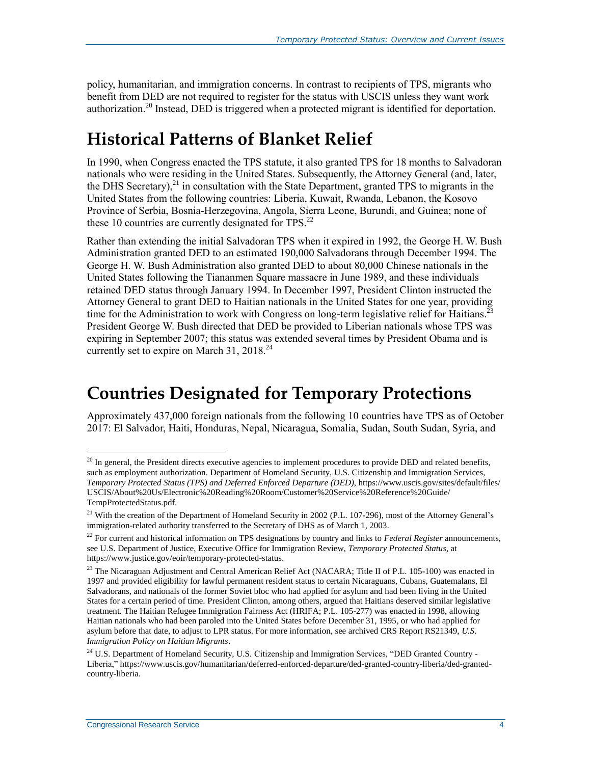policy, humanitarian, and immigration concerns. In contrast to recipients of TPS, migrants who benefit from DED are not required to register for the status with USCIS unless they want work authorization.<sup>20</sup> Instead, DED is triggered when a protected migrant is identified for deportation.

## <span id="page-6-0"></span>**Historical Patterns of Blanket Relief**

In 1990, when Congress enacted the TPS statute, it also granted TPS for 18 months to Salvadoran nationals who were residing in the United States. Subsequently, the Attorney General (and, later, the DHS Secretary), $^{21}$  in consultation with the State Department, granted TPS to migrants in the United States from the following countries: Liberia, Kuwait, Rwanda, Lebanon, the Kosovo Province of Serbia, Bosnia-Herzegovina, Angola, Sierra Leone, Burundi, and Guinea; none of these 10 countries are currently designated for TPS. $^{22}$ 

Rather than extending the initial Salvadoran TPS when it expired in 1992, the George H. W. Bush Administration granted DED to an estimated 190,000 Salvadorans through December 1994. The George H. W. Bush Administration also granted DED to about 80,000 Chinese nationals in the United States following the Tiananmen Square massacre in June 1989, and these individuals retained DED status through January 1994. In December 1997, President Clinton instructed the Attorney General to grant DED to Haitian nationals in the United States for one year, providing time for the Administration to work with Congress on long-term legislative relief for Haitians.<sup>23</sup> President George W. Bush directed that DED be provided to Liberian nationals whose TPS was expiring in September 2007; this status was extended several times by President Obama and is currently set to expire on March 31,  $2018.<sup>24</sup>$ 

### **Countries Designated for Temporary Protections**

Approximately 437,000 foreign nationals from the following 10 countries have TPS as of October 2017: El Salvador, Haiti, Honduras, Nepal, Nicaragua, Somalia, Sudan, South Sudan, Syria, and

 $^{20}$  In general, the President directs executive agencies to implement procedures to provide DED and related benefits, such as employment authorization. Department of Homeland Security, U.S. Citizenship and Immigration Services, *Temporary Protected Status (TPS) and Deferred Enforced Departure (DED)*, https://www.uscis.gov/sites/default/files/ USCIS/About%20Us/Electronic%20Reading%20Room/Customer%20Service%20Reference%20Guide/ TempProtectedStatus.pdf.

<sup>&</sup>lt;sup>21</sup> With the creation of the Department of Homeland Security in 2002 (P.L. 107-296), most of the Attorney General's immigration-related authority transferred to the Secretary of DHS as of March 1, 2003.

<sup>22</sup> For current and historical information on TPS designations by country and links to *Federal Register* announcements, see U.S. Department of Justice, Executive Office for Immigration Review, *Temporary Protected Status*, at https://www.justice.gov/eoir/temporary-protected-status.

<sup>&</sup>lt;sup>23</sup> The Nicaraguan Adjustment and Central American Relief Act (NACARA; Title II of P.L. 105-100) was enacted in 1997 and provided eligibility for lawful permanent resident status to certain Nicaraguans, Cubans, Guatemalans, El Salvadorans, and nationals of the former Soviet bloc who had applied for asylum and had been living in the United States for a certain period of time. President Clinton, among others, argued that Haitians deserved similar legislative treatment. The Haitian Refugee Immigration Fairness Act (HRIFA; P.L. 105-277) was enacted in 1998, allowing Haitian nationals who had been paroled into the United States before December 31, 1995, or who had applied for asylum before that date, to adjust to LPR status. For more information, see archived CRS Report RS21349, *U.S. Immigration Policy on Haitian Migrants*.

 $^{24}$  U.S. Department of Homeland Security, U.S. Citizenship and Immigration Services, "DED Granted Country -Liberia," https://www.uscis.gov/humanitarian/deferred-enforced-departure/ded-granted-country-liberia/ded-grantedcountry-liberia.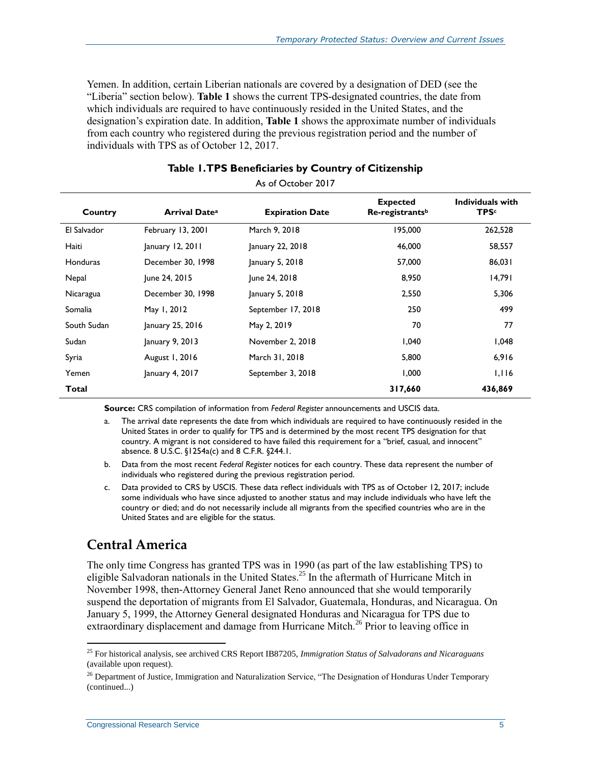Yemen. In addition, certain Liberian nationals are covered by a designation of DED (see the ["Liberia"](#page-10-0) section below). **[Table 1](#page-7-0)** shows the current TPS-designated countries, the date from which individuals are required to have continuously resided in the United States, and the designation's expiration date. In addition, **[Table 1](#page-7-0)** shows the approximate number of individuals from each country who registered during the previous registration period and the number of individuals with TPS as of October 12, 2017.

<span id="page-7-0"></span>

| As of October 2017 |                                 |                        |                                                |                                  |  |  |  |
|--------------------|---------------------------------|------------------------|------------------------------------------------|----------------------------------|--|--|--|
| Country            | <b>Arrival Date<sup>a</sup></b> | <b>Expiration Date</b> | <b>Expected</b><br>Re-registrants <sup>b</sup> | Individuals with<br><b>TPS</b> c |  |  |  |
| El Salvador        | February 13, 2001               | March 9, 2018          | 195,000                                        | 262,528                          |  |  |  |
| Haiti              | $ $ anuary 12, 2011             | January 22, 2018       | 46,000                                         | 58,557                           |  |  |  |
| <b>Honduras</b>    | December 30, 1998               | January 5, 2018        | 57,000                                         | 86,031                           |  |  |  |
| Nepal              | June 24, 2015                   | June 24, 2018          | 8,950                                          | 14,791                           |  |  |  |
| Nicaragua          | December 30, 1998               | January 5, 2018        | 2,550                                          | 5,306                            |  |  |  |
| Somalia            | May 1, 2012                     | September 17, 2018     | 250                                            | 499                              |  |  |  |
| South Sudan        | January 25, 2016                | May 2, 2019            | 70                                             | 77                               |  |  |  |
| Sudan              | January 9, 2013                 | November 2, 2018       | 1,040                                          | 1,048                            |  |  |  |
| Syria              | August 1, 2016                  | March 31, 2018         | 5,800                                          | 6,916                            |  |  |  |
| Yemen              | January 4, 2017                 | September 3, 2018      | 1,000                                          | 1,116                            |  |  |  |
| Total              |                                 |                        | 317,660                                        | 436,869                          |  |  |  |

#### **Table 1. TPS Beneficiaries by Country of Citizenship**

**Source:** CRS compilation of information from *Federal Register* announcements and USCIS data.

<span id="page-7-1"></span>a. The arrival date represents the date from which individuals are required to have continuously resided in the United States in order to qualify for TPS and is determined by the most recent TPS designation for that country. A migrant is not considered to have failed this requirement for a "brief, casual, and innocent" absence. 8 U.S.C. §1254a(c) and 8 C.F.R. §244.1.

<span id="page-7-2"></span>b. Data from the most recent *Federal Register* notices for each country. These data represent the number of individuals who registered during the previous registration period.

<span id="page-7-3"></span>c. Data provided to CRS by USCIS. These data reflect individuals with TPS as of October 12, 2017; include some individuals who have since adjusted to another status and may include individuals who have left the country or died; and do not necessarily include all migrants from the specified countries who are in the United States and are eligible for the status.

#### **Central America**

 $\overline{a}$ 

The only time Congress has granted TPS was in 1990 (as part of the law establishing TPS) to eligible Salvadoran nationals in the United States. <sup>25</sup> In the aftermath of Hurricane Mitch in November 1998, then-Attorney General Janet Reno announced that she would temporarily suspend the deportation of migrants from El Salvador, Guatemala, Honduras, and Nicaragua. On January 5, 1999, the Attorney General designated Honduras and Nicaragua for TPS due to extraordinary displacement and damage from Hurricane Mitch.<sup>26</sup> Prior to leaving office in

<sup>25</sup> For historical analysis, see archived CRS Report IB87205, *Immigration Status of Salvadorans and Nicaraguans* (available upon request).

<sup>&</sup>lt;sup>26</sup> Department of Justice, Immigration and Naturalization Service, "The Designation of Honduras Under Temporary (continued...)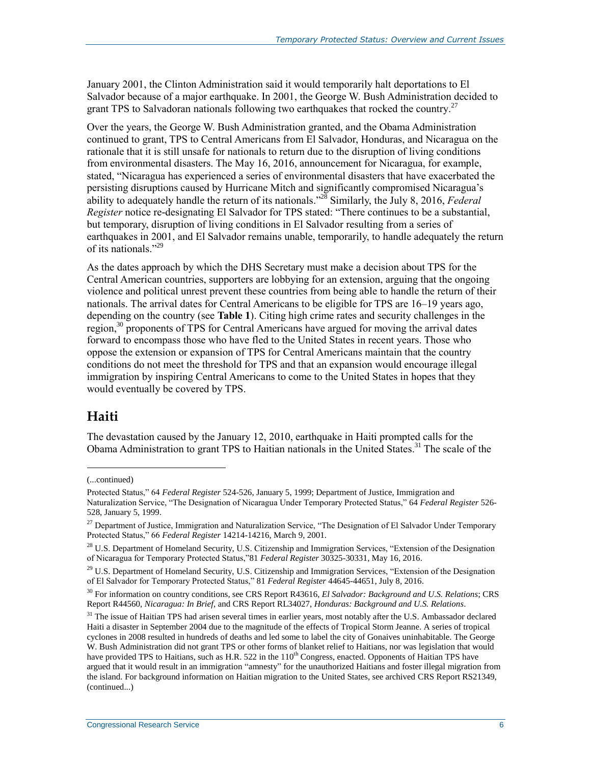January 2001, the Clinton Administration said it would temporarily halt deportations to El Salvador because of a major earthquake. In 2001, the George W. Bush Administration decided to grant TPS to Salvadoran nationals following two earthquakes that rocked the country.<sup>27</sup>

Over the years, the George W. Bush Administration granted, and the Obama Administration continued to grant, TPS to Central Americans from El Salvador, Honduras, and Nicaragua on the rationale that it is still unsafe for nationals to return due to the disruption of living conditions from environmental disasters. The May 16, 2016, announcement for Nicaragua, for example, stated, "Nicaragua has experienced a series of environmental disasters that have exacerbated the persisting disruptions caused by Hurricane Mitch and significantly compromised Nicaragua's ability to adequately handle the return of its nationals."<sup>28</sup> Similarly, the July 8, 2016, *Federal Register* notice re-designating El Salvador for TPS stated: "There continues to be a substantial, but temporary, disruption of living conditions in El Salvador resulting from a series of earthquakes in 2001, and El Salvador remains unable, temporarily, to handle adequately the return of its nationals."<sup>29</sup>

As the dates approach by which the DHS Secretary must make a decision about TPS for the Central American countries, supporters are lobbying for an extension, arguing that the ongoing violence and political unrest prevent these countries from being able to handle the return of their nationals. The arrival dates for Central Americans to be eligible for TPS are 16–19 years ago, depending on the country (see **[Table 1](#page-7-0)**). Citing high crime rates and security challenges in the region,<sup>30</sup> proponents of TPS for Central Americans have argued for moving the arrival dates forward to encompass those who have fled to the United States in recent years. Those who oppose the extension or expansion of TPS for Central Americans maintain that the country conditions do not meet the threshold for TPS and that an expansion would encourage illegal immigration by inspiring Central Americans to come to the United States in hopes that they would eventually be covered by TPS.

#### **Haiti**

The devastation caused by the January 12, 2010, earthquake in Haiti prompted calls for the Obama Administration to grant TPS to Haitian nationals in the United States.<sup>31</sup> The scale of the

<sup>(...</sup>continued)

Protected Status," 64 *Federal Register* 524-526, January 5, 1999; Department of Justice, Immigration and Naturalization Service, "The Designation of Nicaragua Under Temporary Protected Status," 64 *Federal Register* 526- 528, January 5, 1999.

<sup>&</sup>lt;sup>27</sup> Department of Justice, Immigration and Naturalization Service, "The Designation of El Salvador Under Temporary Protected Status," 66 *Federal Register* 14214-14216, March 9, 2001.

<sup>&</sup>lt;sup>28</sup> U.S. Department of Homeland Security, U.S. Citizenship and Immigration Services, "Extension of the Designation of Nicaragua for Temporary Protected Status,"81 *Federal Register* 30325-30331, May 16, 2016.

 $^{29}$  U.S. Department of Homeland Security, U.S. Citizenship and Immigration Services, "Extension of the Designation" of El Salvador for Temporary Protected Status," 81 *Federal Register* 44645-44651, July 8, 2016.

<sup>30</sup> For information on country conditions, see CRS Report R43616, *El Salvador: Background and U.S. Relations*; CRS Report R44560, *Nicaragua: In Brief*, and CRS Report RL34027, *Honduras: Background and U.S. Relations*.

<sup>&</sup>lt;sup>31</sup> The issue of Haitian TPS had arisen several times in earlier years, most notably after the U.S. Ambassador declared Haiti a disaster in September 2004 due to the magnitude of the effects of Tropical Storm Jeanne. A series of tropical cyclones in 2008 resulted in hundreds of deaths and led some to label the city of Gonaives uninhabitable. The George W. Bush Administration did not grant TPS or other forms of blanket relief to Haitians, nor was legislation that would have provided TPS to Haitians, such as H.R. 522 in the  $110<sup>th</sup>$  Congress, enacted. Opponents of Haitian TPS have argued that it would result in an immigration "amnesty" for the unauthorized Haitians and foster illegal migration from the island. For background information on Haitian migration to the United States, see archived CRS Report RS21349, (continued...)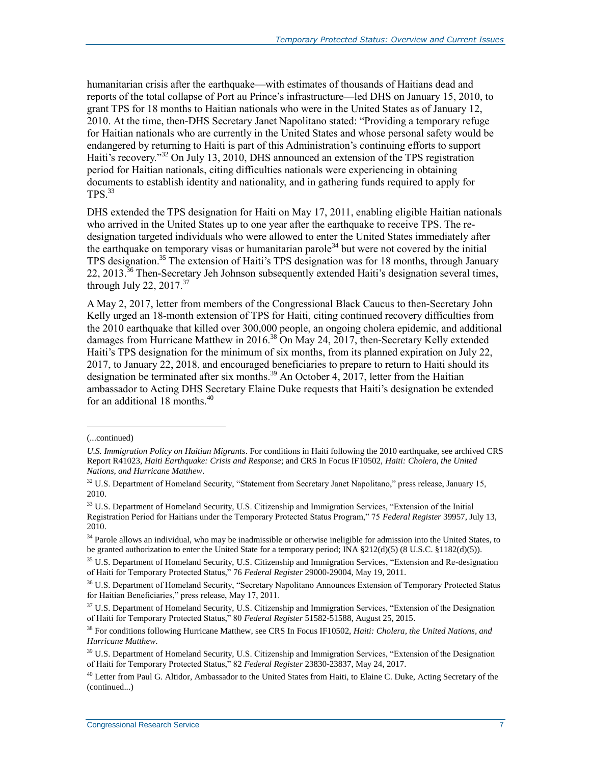humanitarian crisis after the earthquake—with estimates of thousands of Haitians dead and reports of the total collapse of Port au Prince's infrastructure—led DHS on January 15, 2010, to grant TPS for 18 months to Haitian nationals who were in the United States as of January 12, 2010. At the time, then-DHS Secretary Janet Napolitano stated: "Providing a temporary refuge for Haitian nationals who are currently in the United States and whose personal safety would be endangered by returning to Haiti is part of this Administration's continuing efforts to support Haiti's recovery."<sup>32</sup> On July 13, 2010, DHS announced an extension of the TPS registration period for Haitian nationals, citing difficulties nationals were experiencing in obtaining documents to establish identity and nationality, and in gathering funds required to apply for TPS. 33

DHS extended the TPS designation for Haiti on May 17, 2011, enabling eligible Haitian nationals who arrived in the United States up to one year after the earthquake to receive TPS. The redesignation targeted individuals who were allowed to enter the United States immediately after the earthquake on temporary visas or humanitarian parole<sup>34</sup> but were not covered by the initial TPS designation. <sup>35</sup> The extension of Haiti's TPS designation was for 18 months, through January 22, 2013.<sup>36</sup> Then-Secretary Jeh Johnson subsequently extended Haiti's designation several times, through July 22, 2017.<sup>37</sup>

A May 2, 2017, letter from members of the Congressional Black Caucus to then-Secretary John Kelly urged an 18-month extension of TPS for Haiti, citing continued recovery difficulties from the 2010 earthquake that killed over 300,000 people, an ongoing cholera epidemic, and additional damages from Hurricane Matthew in 2016.<sup>38</sup> On May 24, 2017, then-Secretary Kelly extended Haiti's TPS designation for the minimum of six months, from its planned expiration on July 22, 2017, to January 22, 2018, and encouraged beneficiaries to prepare to return to Haiti should its designation be terminated after six months.<sup>39</sup> An October 4, 2017, letter from the Haitian ambassador to Acting DHS Secretary Elaine Duke requests that Haiti's designation be extended for an additional 18 months.<sup>40</sup>

<sup>(...</sup>continued)

*U.S. Immigration Policy on Haitian Migrants*. For conditions in Haiti following the 2010 earthquake, see archived CRS Report R41023, *Haiti Earthquake: Crisis and Response*; and CRS In Focus IF10502, *Haiti: Cholera, the United Nations, and Hurricane Matthew*.

<sup>&</sup>lt;sup>32</sup> U.S. Department of Homeland Security, "Statement from Secretary Janet Napolitano," press release, January 15, 2010.

<sup>&</sup>lt;sup>33</sup> U.S. Department of Homeland Security, U.S. Citizenship and Immigration Services, "Extension of the Initial Registration Period for Haitians under the Temporary Protected Status Program," 75 *Federal Register* 39957, July 13, 2010.

<sup>&</sup>lt;sup>34</sup> Parole allows an individual, who may be inadmissible or otherwise ineligible for admission into the United States, to be granted authorization to enter the United State for a temporary period; INA §212(d)(5) (8 U.S.C. §1182(d)(5)).

<sup>&</sup>lt;sup>35</sup> U.S. Department of Homeland Security, U.S. Citizenship and Immigration Services, "Extension and Re-designation of Haiti for Temporary Protected Status," 76 *Federal Register* 29000-29004, May 19, 2011.

<sup>36</sup> U.S. Department of Homeland Security, "Secretary Napolitano Announces Extension of Temporary Protected Status for Haitian Beneficiaries," press release, May 17, 2011.

<sup>&</sup>lt;sup>37</sup> U.S. Department of Homeland Security, U.S. Citizenship and Immigration Services, "Extension of the Designation of Haiti for Temporary Protected Status," 80 *Federal Register* 51582-51588, August 25, 2015.

<sup>38</sup> For conditions following Hurricane Matthew, see CRS In Focus IF10502, *Haiti: Cholera, the United Nations, and Hurricane Matthew*.

<sup>&</sup>lt;sup>39</sup> U.S. Department of Homeland Security, U.S. Citizenship and Immigration Services, "Extension of the Designation of Haiti for Temporary Protected Status," 82 *Federal Register* 23830-23837, May 24, 2017.

 $40$  Letter from Paul G. Altidor, Ambassador to the United States from Haiti, to Elaine C. Duke, Acting Secretary of the (continued...)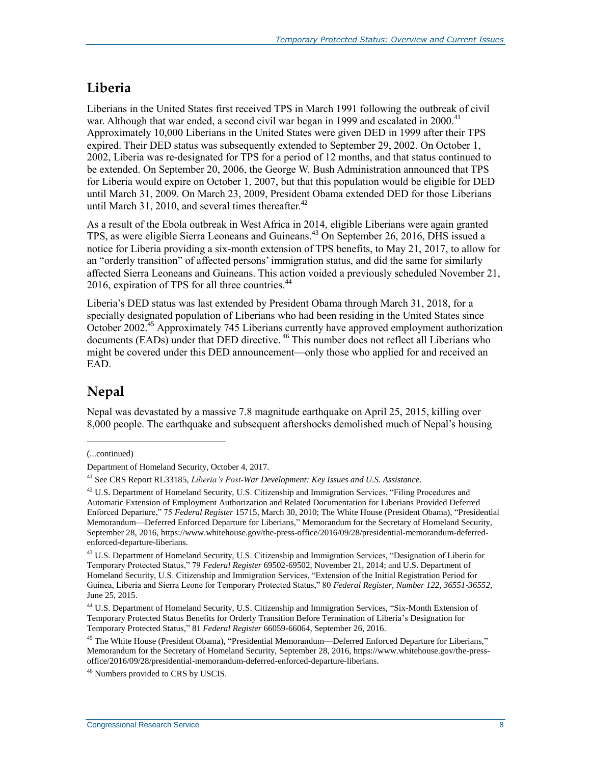### <span id="page-10-0"></span>**Liberia**

Liberians in the United States first received TPS in March 1991 following the outbreak of civil war. Although that war ended, a second civil war began in 1999 and escalated in 2000.<sup>41</sup> Approximately 10,000 Liberians in the United States were given DED in 1999 after their TPS expired. Their DED status was subsequently extended to September 29, 2002. On October 1, 2002, Liberia was re-designated for TPS for a period of 12 months, and that status continued to be extended. On September 20, 2006, the George W. Bush Administration announced that TPS for Liberia would expire on October 1, 2007, but that this population would be eligible for DED until March 31, 2009. On March 23, 2009, President Obama extended DED for those Liberians until March 31, 2010, and several times thereafter. $42$ 

As a result of the Ebola outbreak in West Africa in 2014, eligible Liberians were again granted TPS, as were eligible Sierra Leoneans and Guineans. <sup>43</sup> On September 26, 2016, DHS issued a notice for Liberia providing a six-month extension of TPS benefits, to May 21, 2017, to allow for an "orderly transition" of affected persons' immigration status, and did the same for similarly affected Sierra Leoneans and Guineans. This action voided a previously scheduled November 21, 2016, expiration of TPS for all three countries.<sup>44</sup>

Liberia's DED status was last extended by President Obama through March 31, 2018, for a specially designated population of Liberians who had been residing in the United States since October 2002.<sup>45</sup> Approximately 745 Liberians currently have approved employment authorization documents (EADs) under that DED directive. <sup>46</sup> This number does not reflect all Liberians who might be covered under this DED announcement—only those who applied for and received an EAD.

### **Nepal**

Nepal was devastated by a massive 7.8 magnitude earthquake on April 25, 2015, killing over 8,000 people. The earthquake and subsequent aftershocks demolished much of Nepal's housing

l

<sup>(...</sup>continued)

Department of Homeland Security, October 4, 2017.

<sup>41</sup> See CRS Report RL33185, *Liberia's Post-War Development: Key Issues and U.S. Assistance*.

<sup>&</sup>lt;sup>42</sup> U.S. Department of Homeland Security, U.S. Citizenship and Immigration Services, "Filing Procedures and Automatic Extension of Employment Authorization and Related Documentation for Liberians Provided Deferred Enforced Departure," 75 *Federal Register* 15715, March 30, 2010; The White House (President Obama), "Presidential Memorandum—Deferred Enforced Departure for Liberians," Memorandum for the Secretary of Homeland Security, September 28, 2016, https://www.whitehouse.gov/the-press-office/2016/09/28/presidential-memorandum-deferredenforced-departure-liberians.

<sup>&</sup>lt;sup>43</sup> U.S. Department of Homeland Security, U.S. Citizenship and Immigration Services, "Designation of Liberia for Temporary Protected Status," 79 *Federal Register* 69502-69502, November 21, 2014; and U.S. Department of Homeland Security, U.S. Citizenship and Immigration Services, "Extension of the Initial Registration Period for Guinea, Liberia and Sierra Leone for Temporary Protected Status," 80 *Federal Register, Number 122, 36551-36552,*  June 25, 2015.

<sup>44</sup> U.S. Department of Homeland Security, U.S. Citizenship and Immigration Services, "Six-Month Extension of Temporary Protected Status Benefits for Orderly Transition Before Termination of Liberia's Designation for Temporary Protected Status," 81 *Federal Register* 66059-66064, September 26, 2016.

<sup>&</sup>lt;sup>45</sup> The White House (President Obama), "Presidential Memorandum—Deferred Enforced Departure for Liberians," Memorandum for the Secretary of Homeland Security, September 28, 2016, https://www.whitehouse.gov/the-pressoffice/2016/09/28/presidential-memorandum-deferred-enforced-departure-liberians.

<sup>&</sup>lt;sup>46</sup> Numbers provided to CRS by USCIS.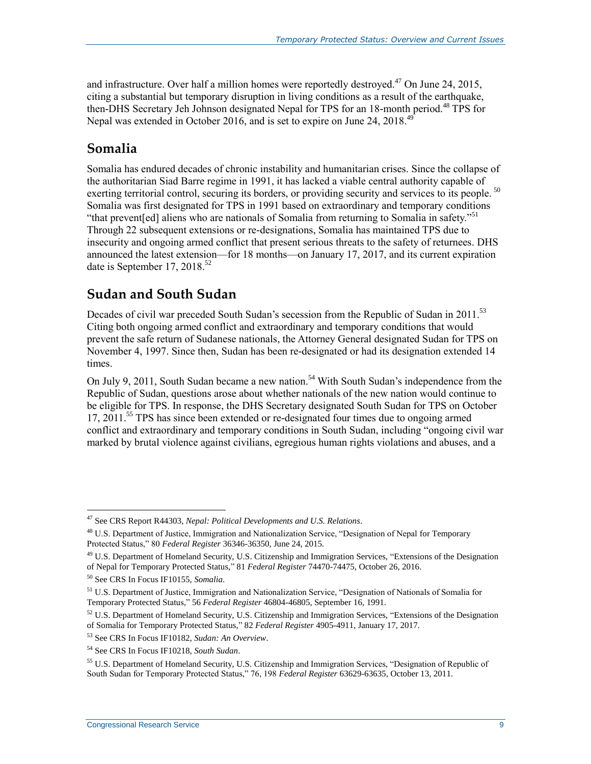and infrastructure. Over half a million homes were reportedly destroyed.<sup>47</sup> On June 24, 2015, citing a substantial but temporary disruption in living conditions as a result of the earthquake, then-DHS Secretary Jeh Johnson designated Nepal for TPS for an 18-month period.<sup>48</sup> TPS for Nepal was extended in October 2016, and is set to expire on June 24, 2018.<sup>49</sup>

#### **Somalia**

Somalia has endured decades of chronic instability and humanitarian crises. Since the collapse of the authoritarian Siad Barre regime in 1991, it has lacked a viable central authority capable of exerting territorial control, securing its borders, or providing security and services to its people. <sup>50</sup> Somalia was first designated for TPS in 1991 based on extraordinary and temporary conditions "that prevent[ed] aliens who are nationals of Somalia from returning to Somalia in safety."<sup>51</sup> Through 22 subsequent extensions or re-designations, Somalia has maintained TPS due to insecurity and ongoing armed conflict that present serious threats to the safety of returnees. DHS announced the latest extension—for 18 months—on January 17, 2017, and its current expiration date is September 17, 2018.<sup>52</sup>

### **Sudan and South Sudan**

Decades of civil war preceded South Sudan's secession from the Republic of Sudan in 2011.<sup>53</sup> Citing both ongoing armed conflict and extraordinary and temporary conditions that would prevent the safe return of Sudanese nationals, the Attorney General designated Sudan for TPS on November 4, 1997. Since then, Sudan has been re-designated or had its designation extended 14 times.

On July 9, 2011, South Sudan became a new nation.<sup>54</sup> With South Sudan's independence from the Republic of Sudan, questions arose about whether nationals of the new nation would continue to be eligible for TPS. In response, the DHS Secretary designated South Sudan for TPS on October 17, 2011.<sup>55</sup> TPS has since been extended or re-designated four times due to ongoing armed conflict and extraordinary and temporary conditions in South Sudan, including "ongoing civil war marked by brutal violence against civilians, egregious human rights violations and abuses, and a

<sup>47</sup> See CRS Report R44303, *Nepal: Political Developments and U.S. Relations*.

<sup>&</sup>lt;sup>48</sup> U.S. Department of Justice, Immigration and Nationalization Service, "Designation of Nepal for Temporary Protected Status," 80 *Federal Register* 36346-36350, June 24, 2015.

<sup>&</sup>lt;sup>49</sup> U.S. Department of Homeland Security, U.S. Citizenship and Immigration Services, "Extensions of the Designation of Nepal for Temporary Protected Status," 81 *Federal Register* 74470-74475, October 26, 2016.

<sup>50</sup> See CRS In Focus IF10155, *Somalia*.

<sup>51</sup> U.S. Department of Justice, Immigration and Nationalization Service, "Designation of Nationals of Somalia for Temporary Protected Status," 56 *Federal Register* 46804-46805, September 16, 1991.

 $52$  U.S. Department of Homeland Security, U.S. Citizenship and Immigration Services, "Extensions of the Designation of Somalia for Temporary Protected Status," 82 *Federal Register* 4905-4911, January 17, 2017.

<sup>53</sup> See CRS In Focus IF10182, *Sudan: An Overview*.

<sup>54</sup> See CRS In Focus IF10218, *South Sudan*.

<sup>55</sup> U.S. Department of Homeland Security, U.S. Citizenship and Immigration Services, "Designation of Republic of South Sudan for Temporary Protected Status," 76, 198 *Federal Register* 63629-63635, October 13, 2011.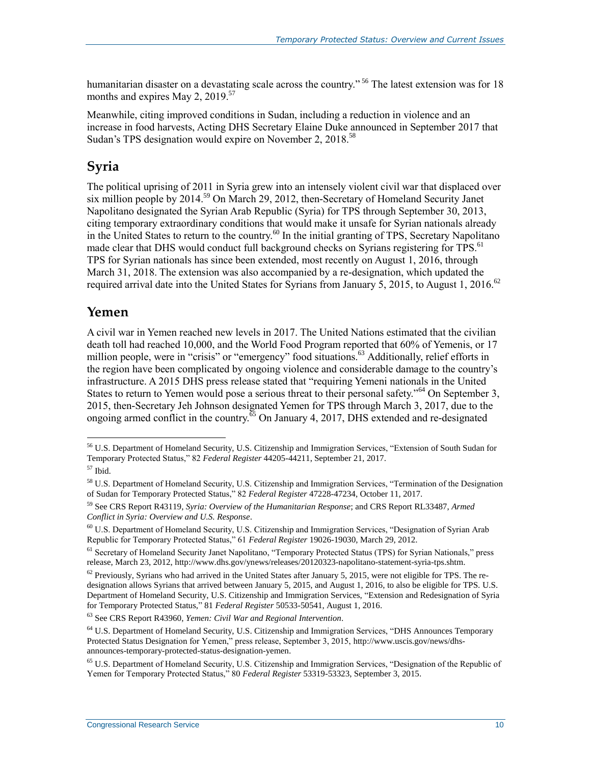humanitarian disaster on a devastating scale across the country."<sup>56</sup> The latest extension was for 18 months and expires May 2,  $2019$ .<sup>57</sup>

Meanwhile, citing improved conditions in Sudan, including a reduction in violence and an increase in food harvests, Acting DHS Secretary Elaine Duke announced in September 2017 that Sudan's TPS designation would expire on November 2, 2018.<sup>58</sup>

#### **Syria**

The political uprising of 2011 in Syria grew into an intensely violent civil war that displaced over six million people by 2014.<sup>59</sup> On March 29, 2012, then-Secretary of Homeland Security Janet Napolitano designated the Syrian Arab Republic (Syria) for TPS through September 30, 2013, citing temporary extraordinary conditions that would make it unsafe for Syrian nationals already in the United States to return to the country.<sup>60</sup> In the initial granting of TPS, Secretary Napolitano made clear that DHS would conduct full background checks on Syrians registering for TPS.<sup>61</sup> TPS for Syrian nationals has since been extended, most recently on August 1, 2016, through March 31, 2018. The extension was also accompanied by a re-designation, which updated the required arrival date into the United States for Syrians from January 5, 2015, to August 1, 2016.<sup>62</sup>

#### **Yemen**

A civil war in Yemen reached new levels in 2017. The United Nations estimated that the civilian death toll had reached 10,000, and the World Food Program reported that 60% of Yemenis, or 17 million people, were in "crisis" or "emergency" food situations.<sup>63</sup> Additionally, relief efforts in the region have been complicated by ongoing violence and considerable damage to the country's infrastructure. A 2015 DHS press release stated that "requiring Yemeni nationals in the United States to return to Yemen would pose a serious threat to their personal safety."<sup>64</sup> On September 3, 2015, then-Secretary Jeh Johnson designated Yemen for TPS through March 3, 2017, due to the ongoing armed conflict in the country.<sup>65</sup> On January 4, 2017, DHS extended and re-designated

 $\overline{a}$ 

<sup>63</sup> See CRS Report R43960, *Yemen: Civil War and Regional Intervention*.

<sup>&</sup>lt;sup>56</sup> U.S. Department of Homeland Security, U.S. Citizenship and Immigration Services, "Extension of South Sudan for Temporary Protected Status," 82 *Federal Register* 44205-44211, September 21, 2017.

 $57$  Ibid.

<sup>58</sup> U.S. Department of Homeland Security, U.S. Citizenship and Immigration Services, "Termination of the Designation of Sudan for Temporary Protected Status," 82 *Federal Register* 47228-47234, October 11, 2017.

<sup>59</sup> See CRS Report R43119, *Syria: Overview of the Humanitarian Response*; and CRS Report RL33487, *Armed Conflict in Syria: Overview and U.S. Response*.

<sup>60</sup> U.S. Department of Homeland Security, U.S. Citizenship and Immigration Services, "Designation of Syrian Arab Republic for Temporary Protected Status," 61 *Federal Register* 19026-19030, March 29, 2012.

<sup>&</sup>lt;sup>61</sup> Secretary of Homeland Security Janet Napolitano, "Temporary Protected Status (TPS) for Syrian Nationals," press release, March 23, 2012, http://www.dhs.gov/ynews/releases/20120323-napolitano-statement-syria-tps.shtm.

 $62$  Previously, Syrians who had arrived in the United States after January 5, 2015, were not eligible for TPS. The redesignation allows Syrians that arrived between January 5, 2015, and August 1, 2016, to also be eligible for TPS. U.S. Department of Homeland Security, U.S. Citizenship and Immigration Services, "Extension and Redesignation of Syria for Temporary Protected Status," 81 *Federal Register* 50533-50541, August 1, 2016.

<sup>&</sup>lt;sup>64</sup> U.S. Department of Homeland Security, U.S. Citizenship and Immigration Services, "DHS Announces Temporary Protected Status Designation for Yemen," press release, September 3, 2015, http://www.uscis.gov/news/dhsannounces-temporary-protected-status-designation-yemen.

<sup>65</sup> U.S. Department of Homeland Security, U.S. Citizenship and Immigration Services, "Designation of the Republic of Yemen for Temporary Protected Status," 80 *Federal Register* 53319-53323, September 3, 2015.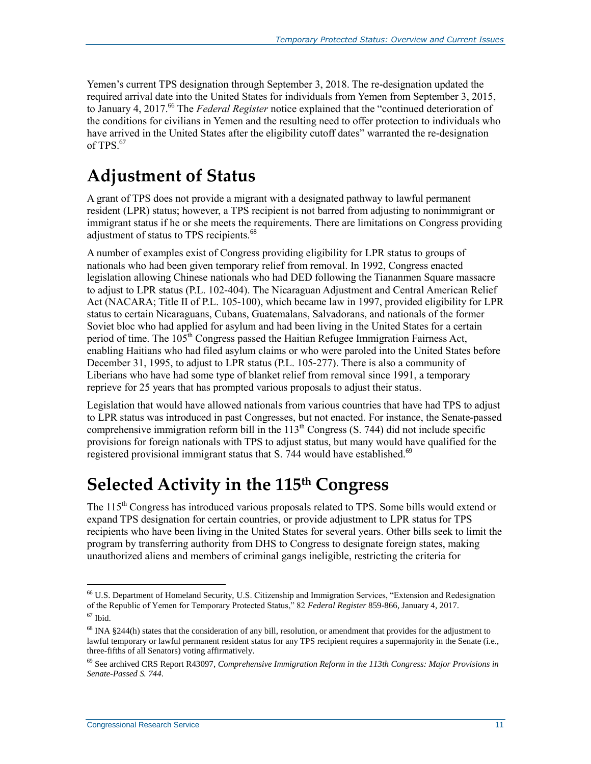Yemen's current TPS designation through September 3, 2018. The re-designation updated the required arrival date into the United States for individuals from Yemen from September 3, 2015, to January 4, 2017.<sup>66</sup> The *Federal Register* notice explained that the "continued deterioration of the conditions for civilians in Yemen and the resulting need to offer protection to individuals who have arrived in the United States after the eligibility cutoff dates" warranted the re-designation of TPS $67$ 

# **Adjustment of Status**

A grant of TPS does not provide a migrant with a designated pathway to lawful permanent resident (LPR) status; however, a TPS recipient is not barred from adjusting to nonimmigrant or immigrant status if he or she meets the requirements. There are limitations on Congress providing adjustment of status to TPS recipients.<sup>68</sup>

A number of examples exist of Congress providing eligibility for LPR status to groups of nationals who had been given temporary relief from removal. In 1992, Congress enacted legislation allowing Chinese nationals who had DED following the Tiananmen Square massacre to adjust to LPR status (P.L. 102-404). The Nicaraguan Adjustment and Central American Relief Act (NACARA; Title II of P.L. 105-100), which became law in 1997, provided eligibility for LPR status to certain Nicaraguans, Cubans, Guatemalans, Salvadorans, and nationals of the former Soviet bloc who had applied for asylum and had been living in the United States for a certain period of time. The  $105<sup>th</sup>$  Congress passed the Haitian Refugee Immigration Fairness Act, enabling Haitians who had filed asylum claims or who were paroled into the United States before December 31, 1995, to adjust to LPR status (P.L. 105-277). There is also a community of Liberians who have had some type of blanket relief from removal since 1991, a temporary reprieve for 25 years that has prompted various proposals to adjust their status.

Legislation that would have allowed nationals from various countries that have had TPS to adjust to LPR status was introduced in past Congresses, but not enacted. For instance, the Senate-passed comprehensive immigration reform bill in the  $113<sup>th</sup>$  Congress (S. 744) did not include specific provisions for foreign nationals with TPS to adjust status, but many would have qualified for the registered provisional immigrant status that S. 744 would have established.<sup>69</sup>

### **Selected Activity in the 115th Congress**

The 115<sup>th</sup> Congress has introduced various proposals related to TPS. Some bills would extend or expand TPS designation for certain countries, or provide adjustment to LPR status for TPS recipients who have been living in the United States for several years. Other bills seek to limit the program by transferring authority from DHS to Congress to designate foreign states, making unauthorized aliens and members of criminal gangs ineligible, restricting the criteria for

<sup>66</sup> U.S. Department of Homeland Security, U.S. Citizenship and Immigration Services, "Extension and Redesignation of the Republic of Yemen for Temporary Protected Status," 82 *Federal Register* 859-866, January 4, 2017.  $67$  Ibid.

<sup>&</sup>lt;sup>68</sup> INA §244(h) states that the consideration of any bill, resolution, or amendment that provides for the adjustment to lawful temporary or lawful permanent resident status for any TPS recipient requires a supermajority in the Senate (i.e., three-fifths of all Senators) voting affirmatively.

<sup>69</sup> See archived CRS Report R43097, *Comprehensive Immigration Reform in the 113th Congress: Major Provisions in Senate-Passed S. 744*.